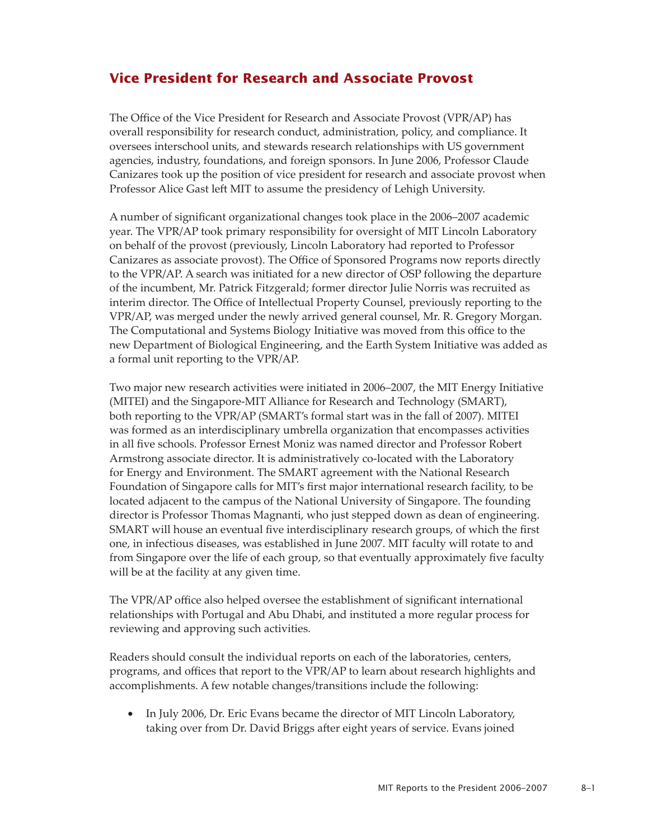## **Vice President for Research and Associate Provost**

The Office of the Vice President for Research and Associate Provost (VPR/AP) has overall responsibility for research conduct, administration, policy, and compliance. It oversees interschool units, and stewards research relationships with US government agencies, industry, foundations, and foreign sponsors. In June 2006, Professor Claude Canizares took up the position of vice president for research and associate provost when Professor Alice Gast left MIT to assume the presidency of Lehigh University.

A number of significant organizational changes took place in the 2006–2007 academic year. The VPR/AP took primary responsibility for oversight of MIT Lincoln Laboratory on behalf of the provost (previously, Lincoln Laboratory had reported to Professor Canizares as associate provost). The Office of Sponsored Programs now reports directly to the VPR/AP. A search was initiated for a new director of OSP following the departure of the incumbent, Mr. Patrick Fitzgerald; former director Julie Norris was recruited as interim director. The Office of Intellectual Property Counsel, previously reporting to the VPR/AP, was merged under the newly arrived general counsel, Mr. R. Gregory Morgan. The Computational and Systems Biology Initiative was moved from this office to the new Department of Biological Engineering, and the Earth System Initiative was added as a formal unit reporting to the VPR/AP.

Two major new research activities were initiated in 2006–2007, the MIT Energy Initiative (MITEI) and the Singapore-MIT Alliance for Research and Technology (SMART), both reporting to the VPR/AP (SMART's formal start was in the fall of 2007). MITEI was formed as an interdisciplinary umbrella organization that encompasses activities in all five schools. Professor Ernest Moniz was named director and Professor Robert Armstrong associate director. It is administratively co-located with the Laboratory for Energy and Environment. The SMART agreement with the National Research Foundation of Singapore calls for MIT's first major international research facility, to be located adjacent to the campus of the National University of Singapore. The founding director is Professor Thomas Magnanti, who just stepped down as dean of engineering. SMART will house an eventual five interdisciplinary research groups, of which the first one, in infectious diseases, was established in June 2007. MIT faculty will rotate to and from Singapore over the life of each group, so that eventually approximately five faculty will be at the facility at any given time.

The VPR/AP office also helped oversee the establishment of significant international relationships with Portugal and Abu Dhabi, and instituted a more regular process for reviewing and approving such activities.

Readers should consult the individual reports on each of the laboratories, centers, programs, and offices that report to the VPR/AP to learn about research highlights and accomplishments. A few notable changes/transitions include the following:

In July 2006, Dr. Eric Evans became the director of MIT Lincoln Laboratory, taking over from Dr. David Briggs after eight years of service. Evans joined